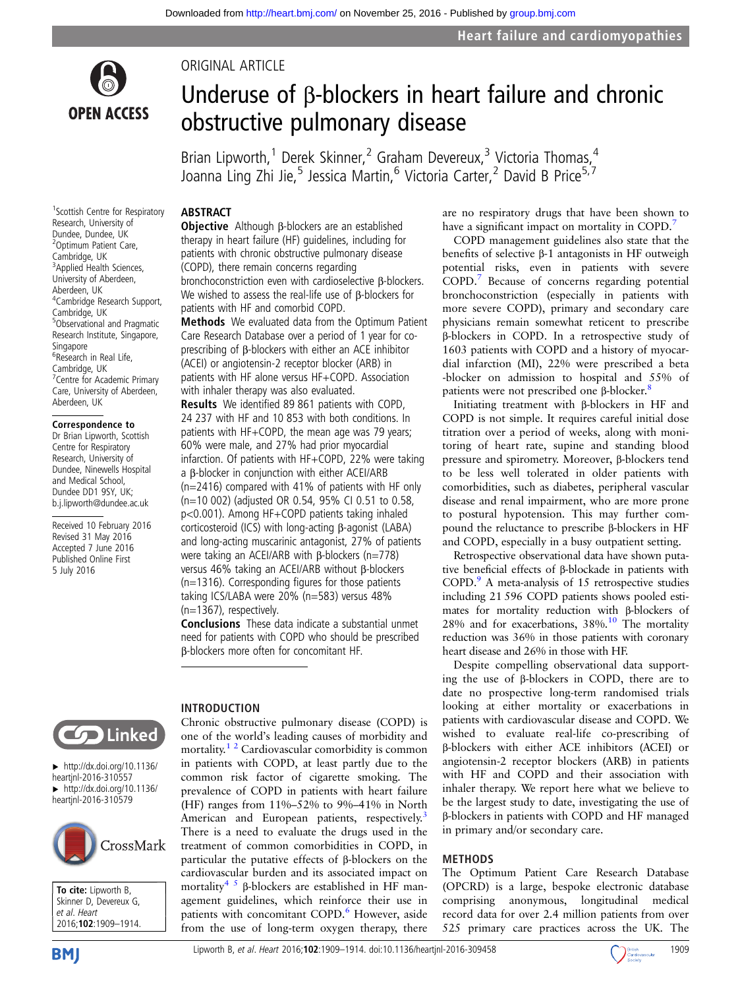

Research, University of Dundee, Dundee, UK 2 Optimum Patient Care, Cambridge, UK <sup>3</sup> Applied Health Sciences, University of Aberdeen, Aberdeen, UK

Cambridge, UK

Singapore

Aberdeen, UK

Research Institute, Singapore,

<sup>7</sup> Centre for Academic Primary Care, University of Aberdeen,

6 Research in Real Life, Cambridge, UK

Correspondence to Dr Brian Lipworth, Scottish Centre for Respiratory Research, University of Dundee, Ninewells Hospital and Medical School, Dundee DD1 9SY, UK; b.j.lipworth@dundee.ac.uk Received 10 February 2016 Revised 31 May 2016 Accepted 7 June 2016 Published Online First 5 July 2016

# ORIGINAL ARTICLE

# Underuse of β-blockers in heart failure and chronic obstructive pulmonary disease

Brian Lipworth,<sup>1</sup> Derek Skinner,<sup>2</sup> Graham Devereux,<sup>3</sup> Victoria Thomas,<sup>4</sup> Joanna Ling Zhi Jie,<sup>5</sup> Jessica Martin,<sup>6</sup> Victoria Carter,<sup>2</sup> David B Price<sup>5,7</sup>

### ABSTRACT

1 Scottish Centre for Respiratory 4 Cambridge Research Support, 5 Observational and Pragmatic Objective Although β-blockers are an established therapy in heart failure (HF) guidelines, including for patients with chronic obstructive pulmonary disease (COPD), there remain concerns regarding bronchoconstriction even with cardioselective β-blockers. We wished to assess the real-life use of β-blockers for patients with HF and comorbid COPD.

Methods We evaluated data from the Optimum Patient Care Research Database over a period of 1 year for coprescribing of β-blockers with either an ACE inhibitor (ACEI) or angiotensin-2 receptor blocker (ARB) in patients with HF alone versus HF+COPD. Association with inhaler therapy was also evaluated.

Results We identified 89 861 patients with COPD, 24 237 with HF and 10 853 with both conditions. In patients with HF+COPD, the mean age was 79 years; 60% were male, and 27% had prior myocardial infarction. Of patients with HF+COPD, 22% were taking a β-blocker in conjunction with either ACEI/ARB (n=2416) compared with 41% of patients with HF only (n=10 002) (adjusted OR 0.54, 95% CI 0.51 to 0.58, p<0.001). Among HF+COPD patients taking inhaled corticosteroid (ICS) with long-acting β-agonist (LABA) and long-acting muscarinic antagonist, 27% of patients were taking an ACEI/ARB with β-blockers (n=778) versus 46% taking an ACEI/ARB without β-blockers (n=1316). Corresponding figures for those patients taking ICS/LABA were 20% (n=583) versus 48% (n=1367), respectively.

Conclusions These data indicate a substantial unmet need for patients with COPD who should be prescribed β-blockers more often for concomitant HF.

**CO** Linked

 $\blacktriangleright$  [http://dx.doi.org/10.1136/](http://dx.doi.org/10.1136/heartjnl-2016-310557) [heartjnl-2016-310557](http://dx.doi.org/10.1136/heartjnl-2016-310557)  $\blacktriangleright$  [http://dx.doi.org/10.1136/](http://dx.doi.org/10.1136/heartjnl-2016-310579) [heartjnl-2016-310579](http://dx.doi.org/10.1136/heartjnl-2016-310579)



To cite: Lipworth B, Skinner D, Devereux G, et al. Heart 2016;102:1909–1914.

# INTRODUCTION

Chronic obstructive pulmonary disease (COPD) is one of the world's leading causes of morbidity and mortality. $1<sup>2</sup>$  Cardiovascular comorbidity is common in patients with COPD, at least partly due to the common risk factor of cigarette smoking. The prevalence of COPD in patients with heart failure (HF) ranges from 11%–52% to 9%–41% in North American and European patients, respectively.<sup>[3](#page-5-0)</sup> There is a need to evaluate the drugs used in the treatment of common comorbidities in COPD, in particular the putative effects of β-blockers on the cardiovascular burden and its associated impact on mortality<sup>4 5</sup> β-blockers are established in HF management guidelines, which reinforce their use in patients with concomitant COPD.<sup>[6](#page-5-0)</sup> However, aside from the use of long-term oxygen therapy, there

are no respiratory drugs that have been shown to have a significant impact on mortality in COPD.<sup>[7](#page-5-0)</sup>

COPD management guidelines also state that the benefits of selective β-1 antagonists in HF outweigh potential risks, even in patients with severe COPD.[7](#page-5-0) Because of concerns regarding potential bronchoconstriction (especially in patients with more severe COPD), primary and secondary care physicians remain somewhat reticent to prescribe β-blockers in COPD. In a retrospective study of 1603 patients with COPD and a history of myocardial infarction (MI), 22% were prescribed a beta -blocker on admission to hospital and 55% of patients were not prescribed one β-blocker.[8](#page-5-0)

Initiating treatment with β-blockers in HF and COPD is not simple. It requires careful initial dose titration over a period of weeks, along with monitoring of heart rate, supine and standing blood pressure and spirometry. Moreover, β-blockers tend to be less well tolerated in older patients with comorbidities, such as diabetes, peripheral vascular disease and renal impairment, who are more prone to postural hypotension. This may further compound the reluctance to prescribe β-blockers in HF and COPD, especially in a busy outpatient setting.

Retrospective observational data have shown putative beneficial effects of β-blockade in patients with COPD.[9](#page-5-0) A meta-analysis of 15 retrospective studies including 21 596 COPD patients shows pooled estimates for mortality reduction with β-blockers of 28% and for exacerbations,  $38\%$ .<sup>10</sup> The mortality reduction was 36% in those patients with coronary heart disease and 26% in those with HF.

Despite compelling observational data supporting the use of β-blockers in COPD, there are to date no prospective long-term randomised trials looking at either mortality or exacerbations in patients with cardiovascular disease and COPD. We wished to evaluate real-life co-prescribing of β-blockers with either ACE inhibitors (ACEI) or angiotensin-2 receptor blockers (ARB) in patients with HF and COPD and their association with inhaler therapy. We report here what we believe to be the largest study to date, investigating the use of β-blockers in patients with COPD and HF managed in primary and/or secondary care.

### METHODS

The Optimum Patient Care Research Database (OPCRD) is a large, bespoke electronic database comprising anonymous, longitudinal medical record data for over 2.4 million patients from over 525 primary care practices across the UK. The

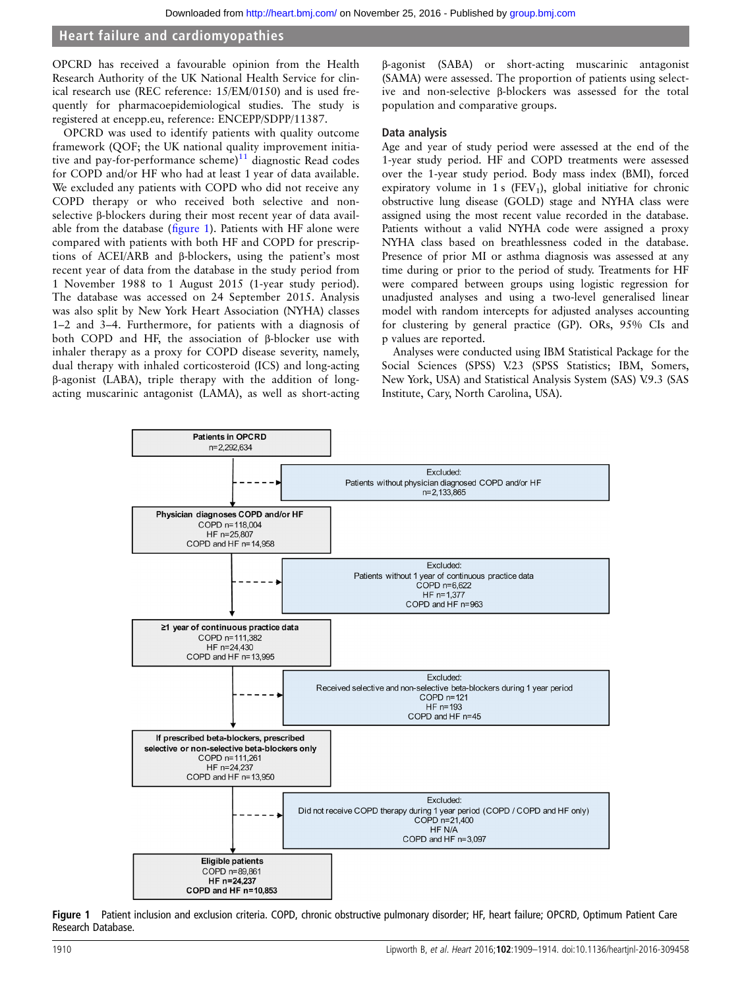# Heart failure and cardiomyopathies

OPCRD has received a favourable opinion from the Health Research Authority of the UK National Health Service for clinical research use (REC reference: 15/EM/0150) and is used frequently for pharmacoepidemiological studies. The study is registered at encepp.eu, reference: ENCEPP/SDPP/11387.

OPCRD was used to identify patients with quality outcome framework (QOF; the UK national quality improvement initiative and pay-for-performance scheme) $11$  diagnostic Read codes for COPD and/or HF who had at least 1 year of data available. We excluded any patients with COPD who did not receive any COPD therapy or who received both selective and nonselective β-blockers during their most recent year of data available from the database (figure 1). Patients with HF alone were compared with patients with both HF and COPD for prescriptions of ACEI/ARB and β-blockers, using the patient's most recent year of data from the database in the study period from 1 November 1988 to 1 August 2015 (1-year study period). The database was accessed on 24 September 2015. Analysis was also split by New York Heart Association (NYHA) classes 1–2 and 3–4. Furthermore, for patients with a diagnosis of both COPD and HF, the association of β-blocker use with inhaler therapy as a proxy for COPD disease severity, namely, dual therapy with inhaled corticosteroid (ICS) and long-acting β-agonist (LABA), triple therapy with the addition of longacting muscarinic antagonist (LAMA), as well as short-acting

β-agonist (SABA) or short-acting muscarinic antagonist (SAMA) were assessed. The proportion of patients using selective and non-selective β-blockers was assessed for the total population and comparative groups.

#### Data analysis

Age and year of study period were assessed at the end of the 1-year study period. HF and COPD treatments were assessed over the 1-year study period. Body mass index (BMI), forced expiratory volume in 1 s (FEV<sub>1</sub>), global initiative for chronic obstructive lung disease (GOLD) stage and NYHA class were assigned using the most recent value recorded in the database. Patients without a valid NYHA code were assigned a proxy NYHA class based on breathlessness coded in the database. Presence of prior MI or asthma diagnosis was assessed at any time during or prior to the period of study. Treatments for HF were compared between groups using logistic regression for unadjusted analyses and using a two-level generalised linear model with random intercepts for adjusted analyses accounting for clustering by general practice (GP). ORs, 95% CIs and p values are reported.

Analyses were conducted using IBM Statistical Package for the Social Sciences (SPSS) V.23 (SPSS Statistics; IBM, Somers, New York, USA) and Statistical Analysis System (SAS) V.9.3 (SAS Institute, Cary, North Carolina, USA).



Figure 1 Patient inclusion and exclusion criteria. COPD, chronic obstructive pulmonary disorder; HF, heart failure; OPCRD, Optimum Patient Care Research Database.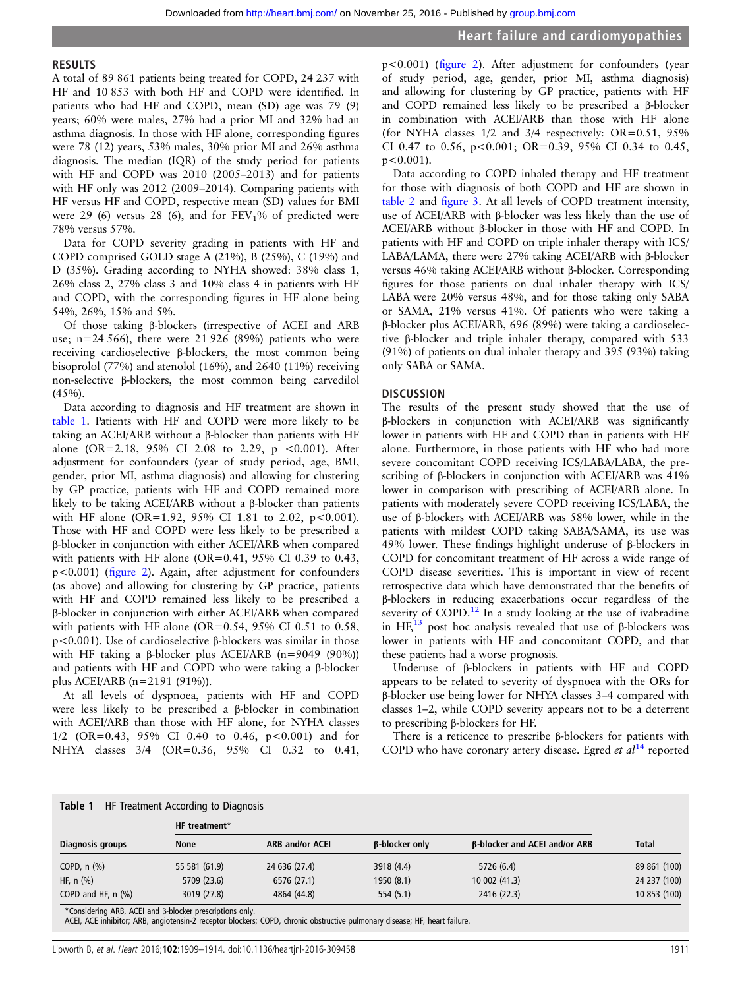#### RESULTS

A total of 89 861 patients being treated for COPD, 24 237 with HF and 10 853 with both HF and COPD were identified. In patients who had HF and COPD, mean (SD) age was 79 (9) years; 60% were males, 27% had a prior MI and 32% had an asthma diagnosis. In those with HF alone, corresponding figures were 78 (12) years, 53% males, 30% prior MI and 26% asthma diagnosis. The median (IQR) of the study period for patients with HF and COPD was 2010 (2005–2013) and for patients with HF only was 2012 (2009–2014). Comparing patients with HF versus HF and COPD, respective mean (SD) values for BMI were 29 (6) versus 28 (6), and for  $FEV<sub>1</sub>%$  of predicted were 78% versus 57%.

Data for COPD severity grading in patients with HF and COPD comprised GOLD stage A (21%), B (25%), C (19%) and D (35%). Grading according to NYHA showed: 38% class 1, 26% class 2, 27% class 3 and 10% class 4 in patients with HF and COPD, with the corresponding figures in HF alone being 54%, 26%, 15% and 5%.

Of those taking β-blockers (irrespective of ACEI and ARB use;  $n=24566$ ), there were 21926 (89%) patients who were receiving cardioselective β-blockers, the most common being bisoprolol (77%) and atenolol (16%), and 2640 (11%) receiving non-selective β-blockers, the most common being carvedilol  $(45\%)$ .

Data according to diagnosis and HF treatment are shown in table 1. Patients with HF and COPD were more likely to be taking an ACEI/ARB without a β-blocker than patients with HF alone (OR=2.18, 95% CI 2.08 to 2.29, p <0.001). After adjustment for confounders (year of study period, age, BMI, gender, prior MI, asthma diagnosis) and allowing for clustering by GP practice, patients with HF and COPD remained more likely to be taking ACEI/ARB without a β-blocker than patients with HF alone (OR=1.92, 95% CI 1.81 to 2.02, p<0.001). Those with HF and COPD were less likely to be prescribed a β-blocker in conjunction with either ACEI/ARB when compared with patients with HF alone (OR=0.41, 95% CI 0.39 to 0.43, p<0.001) (fi[gure 2\)](#page-3-0). Again, after adjustment for confounders (as above) and allowing for clustering by GP practice, patients with HF and COPD remained less likely to be prescribed a β-blocker in conjunction with either ACEI/ARB when compared with patients with HF alone (OR=0.54, 95% CI 0.51 to 0.58, p<0.001). Use of cardioselective β-blockers was similar in those with HF taking a β-blocker plus ACEI/ARB (n=9049 (90%)) and patients with HF and COPD who were taking a β-blocker plus ACEI/ARB (n=2191 (91%)).

At all levels of dyspnoea, patients with HF and COPD were less likely to be prescribed a β-blocker in combination with ACEI/ARB than those with HF alone, for NYHA classes 1/2 (OR=0.43, 95% CI 0.40 to 0.46, p<0.001) and for NHYA classes 3/4 (OR=0.36, 95% CI 0.32 to 0.41,

p<0.001) (fi[gure 2](#page-3-0)). After adjustment for confounders (year of study period, age, gender, prior MI, asthma diagnosis) and allowing for clustering by GP practice, patients with HF and COPD remained less likely to be prescribed a β-blocker in combination with ACEI/ARB than those with HF alone (for NYHA classes 1/2 and 3/4 respectively: OR=0.51, 95% CI 0.47 to 0.56, p<0.001; OR=0.39, 95% CI 0.34 to 0.45, p<0.001).

Data according to COPD inhaled therapy and HF treatment for those with diagnosis of both COPD and HF are shown in [table 2](#page-3-0) and fi[gure 3](#page-3-0). At all levels of COPD treatment intensity, use of ACEI/ARB with β-blocker was less likely than the use of ACEI/ARB without β-blocker in those with HF and COPD. In patients with HF and COPD on triple inhaler therapy with ICS/ LABA/LAMA, there were 27% taking ACEI/ARB with β-blocker versus 46% taking ACEI/ARB without β-blocker. Corresponding figures for those patients on dual inhaler therapy with ICS/ LABA were 20% versus 48%, and for those taking only SABA or SAMA, 21% versus 41%. Of patients who were taking a β-blocker plus ACEI/ARB, 696 (89%) were taking a cardioselective β-blocker and triple inhaler therapy, compared with 533 (91%) of patients on dual inhaler therapy and 395 (93%) taking only SABA or SAMA.

#### **DISCUSSION**

The results of the present study showed that the use of β-blockers in conjunction with ACEI/ARB was significantly lower in patients with HF and COPD than in patients with HF alone. Furthermore, in those patients with HF who had more severe concomitant COPD receiving ICS/LABA/LABA, the prescribing of β-blockers in conjunction with ACEI/ARB was 41% lower in comparison with prescribing of ACEI/ARB alone. In patients with moderately severe COPD receiving ICS/LABA, the use of β-blockers with ACEI/ARB was 58% lower, while in the patients with mildest COPD taking SABA/SAMA, its use was 49% lower. These findings highlight underuse of β-blockers in COPD for concomitant treatment of HF across a wide range of COPD disease severities. This is important in view of recent retrospective data which have demonstrated that the benefits of β-blockers in reducing exacerbations occur regardless of the severity of COPD.<sup>[12](#page-5-0)</sup> In a study looking at the use of ivabradine in HF,<sup>[13](#page-5-0)</sup> post hoc analysis revealed that use of β-blockers was lower in patients with HF and concomitant COPD, and that these patients had a worse prognosis.

Underuse of β-blockers in patients with HF and COPD appears to be related to severity of dyspnoea with the ORs for β-blocker use being lower for NHYA classes 3–4 compared with classes 1–2, while COPD severity appears not to be a deterrent to prescribing β-blockers for HF.

There is a reticence to prescribe β-blockers for patients with COPD who have coronary artery disease. Egred et  $al<sup>14</sup>$  $al<sup>14</sup>$  $al<sup>14</sup>$  reported

| Table 1<br>HF Treatment According to Diagnosis |               |                        |                       |                                      |              |
|------------------------------------------------|---------------|------------------------|-----------------------|--------------------------------------|--------------|
|                                                | HF treatment* |                        |                       |                                      |              |
| Diagnosis groups                               | <b>None</b>   | <b>ARB and/or ACEI</b> | <b>B-blocker only</b> | <b>B-blocker and ACEI and/or ARB</b> | <b>Total</b> |
| COPD, $n$ $(\%)$                               | 55 581 (61.9) | 24 636 (27.4)          | 3918 (4.4)            | 5726 (6.4)                           | 89 861 (100) |
| HF, $n$ (%)                                    | 5709 (23.6)   | 6576 (27.1)            | 1950 (8.1)            | 10 002 (41.3)                        | 24 237 (100) |
| COPD and HF, $n$ $(\%)$                        | 3019 (27.8)   | 4864 (44.8)            | 554 (5.1)             | 2416 (22.3)                          | 10 853 (100) |

\*Considering ARB, ACEI and β-blocker prescriptions only.

ACEI, ACE inhibitor; ARB, angiotensin-2 receptor blockers; COPD, chronic obstructive pulmonary disease; HF, heart failure.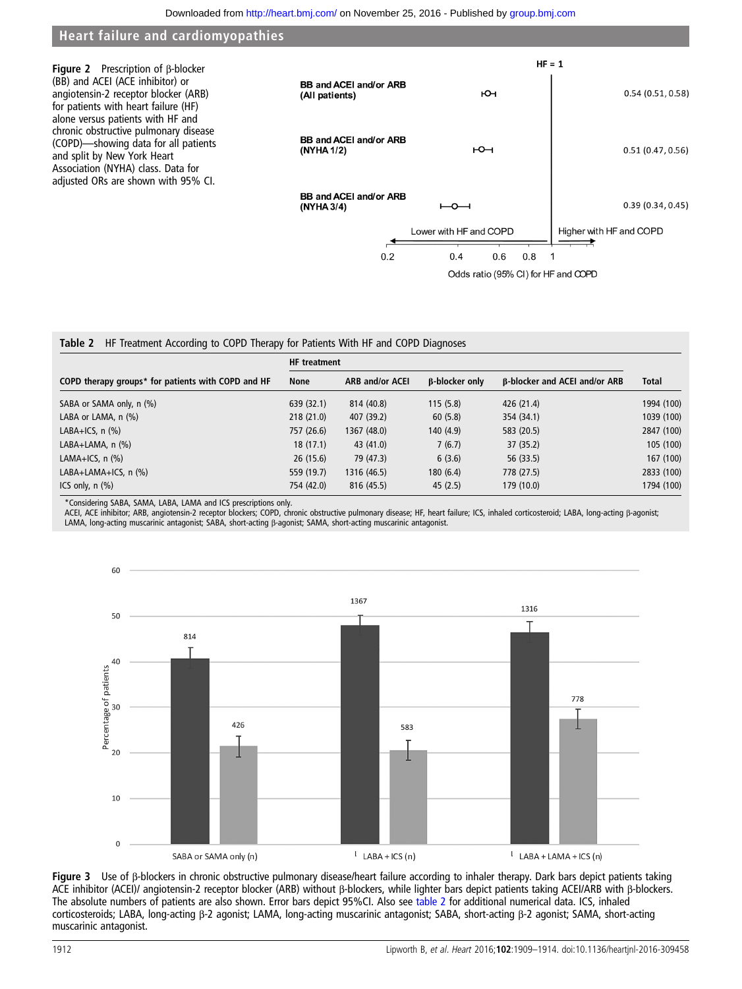<span id="page-3-0"></span>

| Heart failure and cardiom <u>yopathies</u>                                                                                                                                                |                                                 |                                     |                         |  |
|-------------------------------------------------------------------------------------------------------------------------------------------------------------------------------------------|-------------------------------------------------|-------------------------------------|-------------------------|--|
| <b>Figure 2</b> Prescription of $\beta$ -blocker                                                                                                                                          | $HF = 1$                                        |                                     |                         |  |
| (BB) and ACEI (ACE inhibitor) or<br>angiotensin-2 receptor blocker (ARB)<br>for patients with heart failure (HF)<br>alone versus patients with HF and                                     | <b>BB and ACEI and/or ARB</b><br>(All patients) | юн                                  | 0.54(0.51, 0.58)        |  |
| chronic obstructive pulmonary disease<br>(COPD)-showing data for all patients<br>and split by New York Heart<br>Association (NYHA) class. Data for<br>adjusted ORs are shown with 95% CI. | <b>BB and ACEI and/or ARB</b><br>(NYHA 1/2)     | ⊷                                   | 0.51(0.47, 0.56)        |  |
|                                                                                                                                                                                           | <b>BB and ACEI and/or ARB</b><br>(NYHA 3/4)     | ⊢⊶                                  | 0.39(0.34, 0.45)        |  |
|                                                                                                                                                                                           |                                                 | Lower with HF and COPD              | Higher with HF and COPD |  |
|                                                                                                                                                                                           | 0.2                                             | 0.4<br>0.6<br>0.8                   |                         |  |
|                                                                                                                                                                                           |                                                 | Odds ratio (95% CI) for HF and COPD |                         |  |

## Table 2 HF Treatment According to COPD Therapy for Patients With HF and COPD Diagnoses

|                                                    | <b>HF</b> treatment |                 |                       |                                      |              |
|----------------------------------------------------|---------------------|-----------------|-----------------------|--------------------------------------|--------------|
| COPD therapy groups* for patients with COPD and HF | <b>None</b>         | ARB and/or ACEI | <b>B-blocker only</b> | <b>B-blocker and ACEI and/or ARB</b> | <b>Total</b> |
| SABA or SAMA only, n (%)                           | 639 (32.1)          | 814 (40.8)      | 115(5.8)              | 426 (21.4)                           | 1994 (100)   |
| LABA or LAMA, n (%)                                | 218(21.0)           | 407 (39.2)      | 60(5.8)               | 354 (34.1)                           | 1039 (100)   |
| LABA+ICS, $n$ $(\%)$                               | 757 (26.6)          | 1367 (48.0)     | 140 (4.9)             | 583 (20.5)                           | 2847 (100)   |
| $LABA+LAMA$ , n $(\%)$                             | 18(17.1)            | 43 (41.0)       | 7(6.7)                | 37 (35.2)                            | 105(100)     |
| LAMA+ICS, $n$ $(\%)$                               | 26(15.6)            | 79 (47.3)       | 6(3.6)                | 56 (33.5)                            | 167 (100)    |
| $LABA+LAMA+ICS, n$ (%)                             | 559 (19.7)          | 1316 (46.5)     | 180(6.4)              | 778 (27.5)                           | 2833 (100)   |
| ICS only, $n$ $(\%)$                               | 754 (42.0)          | 816 (45.5)      | 45(2.5)               | 179 (10.0)                           | 1794 (100)   |

\*Considering SABA, SAMA, LABA, LAMA and ICS prescriptions only.<br>ACEI, ACE inhibitor; ARB, angiotensin-2 receptor blockers; COPD, chronic obstructive pulmonary disease; HF, heart failure; ICS, inhaled corticosteroid; LABA, LAMA, long-acting muscarinic antagonist; SABA, short-acting β-agonist; SAMA, short-acting muscarinic antagonist.



Figure 3 Use of β-blockers in chronic obstructive pulmonary disease/heart failure according to inhaler therapy. Dark bars depict patients taking ACE inhibitor (ACEI)/ angiotensin-2 receptor blocker (ARB) without β-blockers, while lighter bars depict patients taking ACEI/ARB with β-blockers. The absolute numbers of patients are also shown. Error bars depict 95%CI. Also see table 2 for additional numerical data. ICS, inhaled corticosteroids; LABA, long-acting β-2 agonist; LAMA, long-acting muscarinic antagonist; SABA, short-acting β-2 agonist; SAMA, short-acting muscarinic antagonist.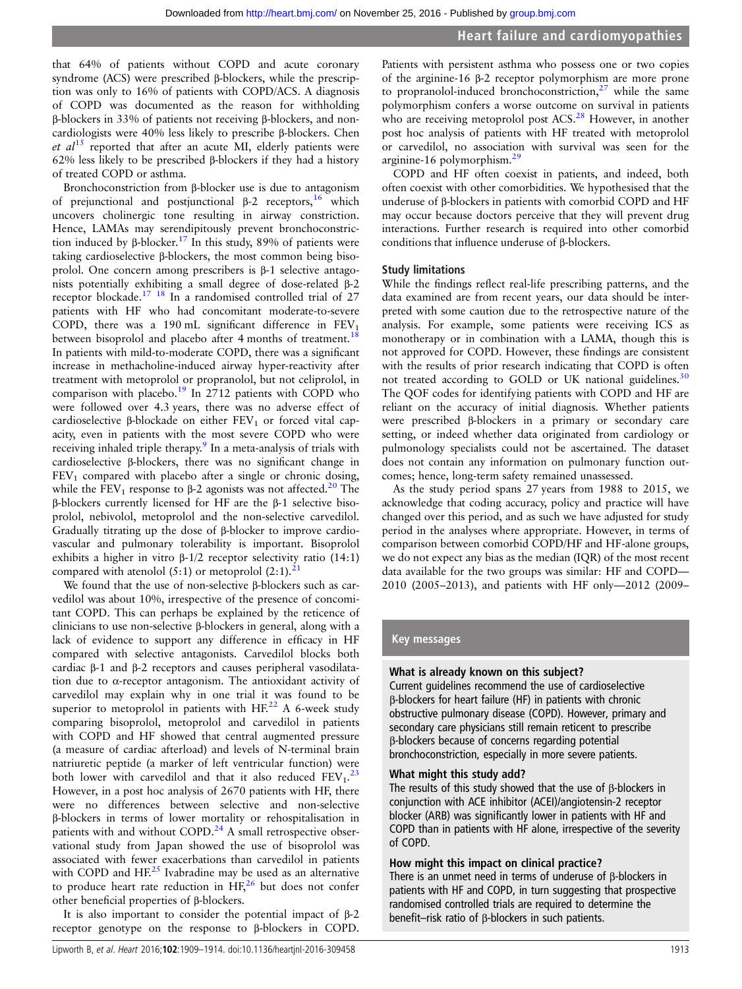that 64% of patients without COPD and acute coronary syndrome (ACS) were prescribed β-blockers, while the prescription was only to 16% of patients with COPD/ACS. A diagnosis of COPD was documented as the reason for withholding β-blockers in 33% of patients not receiving β-blockers, and noncardiologists were 40% less likely to prescribe β-blockers. Chen et  $al^{15}$  $al^{15}$  $al^{15}$  reported that after an acute MI, elderly patients were 62% less likely to be prescribed β-blockers if they had a history of treated COPD or asthma.

Bronchoconstriction from β-blocker use is due to antagonism of prejunctional and postjunctional β-2 receptors,<sup>[16](#page-5-0)</sup> which uncovers cholinergic tone resulting in airway constriction. Hence, LAMAs may serendipitously prevent bronchoconstric-tion induced by β-blocker.<sup>[17](#page-5-0)</sup> In this study, 89% of patients were taking cardioselective β-blockers, the most common being bisoprolol. One concern among prescribers is β-1 selective antagonists potentially exhibiting a small degree of dose-related β-2 receptor blockade.<sup>[17 18](#page-5-0)</sup> In a randomised controlled trial of 27 patients with HF who had concomitant moderate-to-severe COPD, there was a 190 mL significant difference in  $FEV<sub>1</sub>$ between bisoprolol and placebo after 4 months of treatment.<sup>18</sup> In patients with mild-to-moderate COPD, there was a significant increase in methacholine-induced airway hyper-reactivity after treatment with metoprolol or propranolol, but not celiprolol, in comparison with placebo.<sup>19</sup> In 2712 patients with COPD who were followed over 4.3 years, there was no adverse effect of cardioselective β-blockade on either  $FEV<sub>1</sub>$  or forced vital capacity, even in patients with the most severe COPD who were receiving inhaled triple therapy.<sup>[9](#page-5-0)</sup> In a meta-analysis of trials with cardioselective β-blockers, there was no significant change in  $FEV<sub>1</sub>$  compared with placebo after a single or chronic dosing, while the FEV<sub>1</sub> response to β-2 agonists was not affected.<sup>20</sup> The β-blockers currently licensed for HF are the β-1 selective bisoprolol, nebivolol, metoprolol and the non-selective carvedilol. Gradually titrating up the dose of β-blocker to improve cardiovascular and pulmonary tolerability is important. Bisoprolol exhibits a higher in vitro β-1/2 receptor selectivity ratio (14:1) compared with atenolol  $(5:1)$  or metoprolol  $(2:1).^{21}$  $(2:1).^{21}$  $(2:1).^{21}$ 

We found that the use of non-selective β-blockers such as carvedilol was about 10%, irrespective of the presence of concomitant COPD. This can perhaps be explained by the reticence of clinicians to use non-selective β-blockers in general, along with a lack of evidence to support any difference in efficacy in HF compared with selective antagonists. Carvedilol blocks both cardiac β-1 and β-2 receptors and causes peripheral vasodilatation due to α-receptor antagonism. The antioxidant activity of carvedilol may explain why in one trial it was found to be superior to metoprolol in patients with  $HF<sup>22</sup>$  $HF<sup>22</sup>$  $HF<sup>22</sup>$  A 6-week study comparing bisoprolol, metoprolol and carvedilol in patients with COPD and HF showed that central augmented pressure (a measure of cardiac afterload) and levels of N-terminal brain natriuretic peptide (a marker of left ventricular function) were both lower with carvedilol and that it also reduced  $FEV<sub>1</sub>.<sup>23</sup>$  $FEV<sub>1</sub>.<sup>23</sup>$  $FEV<sub>1</sub>.<sup>23</sup>$ However, in a post hoc analysis of 2670 patients with HF, there were no differences between selective and non-selective β-blockers in terms of lower mortality or rehospitalisation in patients with and without  $COPD<sup>24</sup>$  $COPD<sup>24</sup>$  $COPD<sup>24</sup>$  A small retrospective observational study from Japan showed the use of bisoprolol was associated with fewer exacerbations than carvedilol in patients with COPD and  $HF<sup>25</sup>$  $HF<sup>25</sup>$  $HF<sup>25</sup>$  Ivabradine may be used as an alternative to produce heart rate reduction in  $HF<sub>26</sub>$  $HF<sub>26</sub>$  $HF<sub>26</sub>$  but does not confer other beneficial properties of β-blockers.

It is also important to consider the potential impact of β-2 receptor genotype on the response to β-blockers in COPD.

Patients with persistent asthma who possess one or two copies of the arginine-16 β-2 receptor polymorphism are more prone to propranolol-induced bronchoconstriction, $27$  while the same polymorphism confers a worse outcome on survival in patients who are receiving metoprolol post ACS.<sup>28</sup> However, in another post hoc analysis of patients with HF treated with metoprolol or carvedilol, no association with survival was seen for the arginine-16 polymorphism[.29](#page-5-0)

COPD and HF often coexist in patients, and indeed, both often coexist with other comorbidities. We hypothesised that the underuse of β-blockers in patients with comorbid COPD and HF may occur because doctors perceive that they will prevent drug interactions. Further research is required into other comorbid conditions that influence underuse of β-blockers.

#### Study limitations

While the findings reflect real-life prescribing patterns, and the data examined are from recent years, our data should be interpreted with some caution due to the retrospective nature of the analysis. For example, some patients were receiving ICS as monotherapy or in combination with a LAMA, though this is not approved for COPD. However, these findings are consistent with the results of prior research indicating that COPD is often not treated according to GOLD or UK national guidelines.<sup>[30](#page-5-0)</sup> The QOF codes for identifying patients with COPD and HF are reliant on the accuracy of initial diagnosis. Whether patients were prescribed β-blockers in a primary or secondary care setting, or indeed whether data originated from cardiology or pulmonology specialists could not be ascertained. The dataset does not contain any information on pulmonary function outcomes; hence, long-term safety remained unassessed.

As the study period spans 27 years from 1988 to 2015, we acknowledge that coding accuracy, policy and practice will have changed over this period, and as such we have adjusted for study period in the analyses where appropriate. However, in terms of comparison between comorbid COPD/HF and HF-alone groups, we do not expect any bias as the median (IQR) of the most recent data available for the two groups was similar: HF and COPD–– 2010 (2005–2013), and patients with HF only––2012 (2009–

### Key messages

#### What is already known on this subject?

Current guidelines recommend the use of cardioselective β-blockers for heart failure (HF) in patients with chronic obstructive pulmonary disease (COPD). However, primary and secondary care physicians still remain reticent to prescribe β-blockers because of concerns regarding potential bronchoconstriction, especially in more severe patients.

#### What might this study add?

The results of this study showed that the use of β-blockers in conjunction with ACE inhibitor (ACEI)/angiotensin-2 receptor blocker (ARB) was significantly lower in patients with HF and COPD than in patients with HF alone, irrespective of the severity of COPD.

#### How might this impact on clinical practice?

There is an unmet need in terms of underuse of β-blockers in patients with HF and COPD, in turn suggesting that prospective randomised controlled trials are required to determine the benefit–risk ratio of β-blockers in such patients.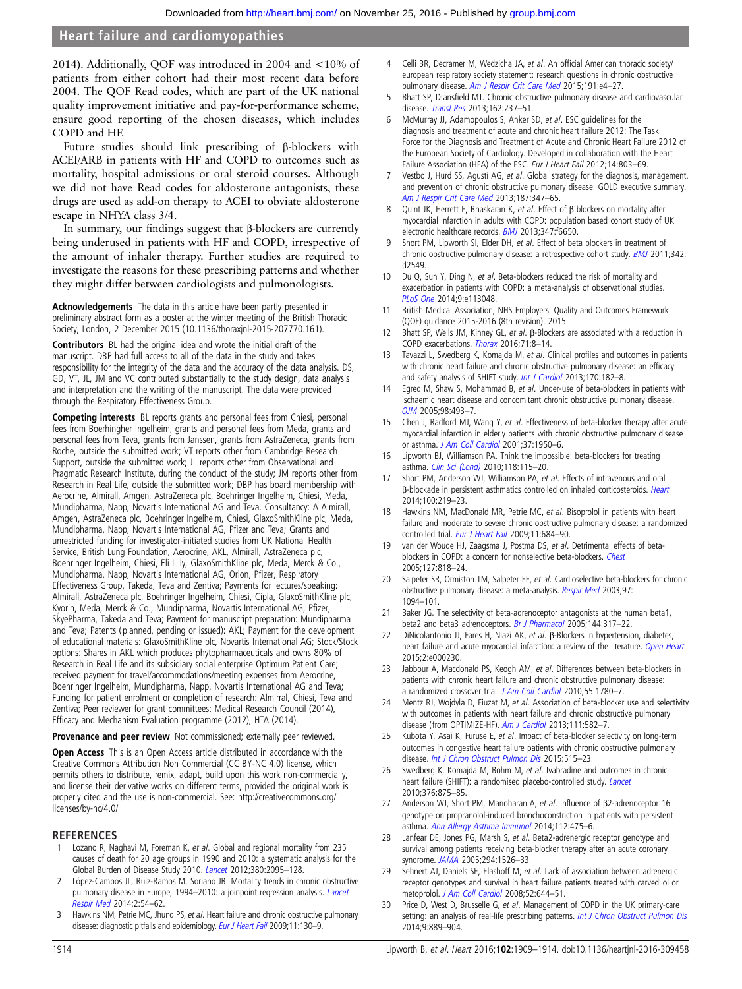# <span id="page-5-0"></span>Heart failure and cardiomyopathies

2014). Additionally, QOF was introduced in 2004 and <10% of patients from either cohort had their most recent data before 2004. The QOF Read codes, which are part of the UK national quality improvement initiative and pay-for-performance scheme, ensure good reporting of the chosen diseases, which includes COPD and HF.

Future studies should link prescribing of β-blockers with ACEI/ARB in patients with HF and COPD to outcomes such as mortality, hospital admissions or oral steroid courses. Although we did not have Read codes for aldosterone antagonists, these drugs are used as add-on therapy to ACEI to obviate aldosterone escape in NHYA class 3/4.

In summary, our findings suggest that β-blockers are currently being underused in patients with HF and COPD, irrespective of the amount of inhaler therapy. Further studies are required to investigate the reasons for these prescribing patterns and whether they might differ between cardiologists and pulmonologists.

Acknowledgements The data in this article have been partly presented in preliminary abstract form as a poster at the winter meeting of the British Thoracic Society, London, 2 December 2015 (10.1136/thoraxjnl-2015-207770.161).

Contributors BL had the original idea and wrote the initial draft of the manuscript. DBP had full access to all of the data in the study and takes responsibility for the integrity of the data and the accuracy of the data analysis. DS, GD, VT, JL, JM and VC contributed substantially to the study design, data analysis and interpretation and the writing of the manuscript. The data were provided through the Respiratory Effectiveness Group.

Competing interests BL reports grants and personal fees from Chiesi, personal fees from Boerhingher Ingelheim, grants and personal fees from Meda, grants and personal fees from Teva, grants from Janssen, grants from AstraZeneca, grants from Roche, outside the submitted work; VT reports other from Cambridge Research Support, outside the submitted work; JL reports other from Observational and Pragmatic Research Institute, during the conduct of the study; JM reports other from Research in Real Life, outside the submitted work; DBP has board membership with Aerocrine, Almirall, Amgen, AstraZeneca plc, Boehringer Ingelheim, Chiesi, Meda, Mundipharma, Napp, Novartis International AG and Teva. Consultancy: A Almirall, Amgen, AstraZeneca plc, Boehringer Ingelheim, Chiesi, GlaxoSmithKline plc, Meda, Mundipharma, Napp, Novartis International AG, Pfizer and Teva; Grants and unrestricted funding for investigator-initiated studies from UK National Health Service, British Lung Foundation, Aerocrine, AKL, Almirall, AstraZeneca plc, Boehringer Ingelheim, Chiesi, Eli Lilly, GlaxoSmithKline plc, Meda, Merck & Co., Mundipharma, Napp, Novartis International AG, Orion, Pfizer, Respiratory Effectiveness Group, Takeda, Teva and Zentiva; Payments for lectures/speaking: Almirall, AstraZeneca plc, Boehringer Ingelheim, Chiesi, Cipla, GlaxoSmithKline plc, Kyorin, Meda, Merck & Co., Mundipharma, Novartis International AG, Pfizer, SkyePharma, Takeda and Teva; Payment for manuscript preparation: Mundipharma and Teva; Patents (planned, pending or issued): AKL; Payment for the development of educational materials: GlaxoSmithKline plc, Novartis International AG; Stock/Stock options: Shares in AKL which produces phytopharmaceuticals and owns 80% of Research in Real Life and its subsidiary social enterprise Optimum Patient Care; received payment for travel/accommodations/meeting expenses from Aerocrine, Boehringer Ingelheim, Mundipharma, Napp, Novartis International AG and Teva; Funding for patient enrolment or completion of research: Almirral, Chiesi, Teva and Zentiva; Peer reviewer for grant committees: Medical Research Council (2014), Efficacy and Mechanism Evaluation programme (2012), HTA (2014).

Provenance and peer review Not commissioned; externally peer reviewed.

Open Access This is an Open Access article distributed in accordance with the Creative Commons Attribution Non Commercial (CC BY-NC 4.0) license, which permits others to distribute, remix, adapt, build upon this work non-commercially, and license their derivative works on different terms, provided the original work is properly cited and the use is non-commercial. See: [http://creativecommons.org/](http://creativecommons.org/licenses/by-nc/4.0/) [licenses/by-nc/4.0/](http://creativecommons.org/licenses/by-nc/4.0/)

### REFERENCES

- 1 Lozano R, Naghavi M, Foreman K, et al. Global and regional mortality from 235 causes of death for 20 age groups in 1990 and 2010: a systematic analysis for the Global Burden of Disease Study 2010. [Lancet](http://dx.doi.org/10.1016/S0140-6736(12)61728-0) 2012;380:2095–128.
- 2 López-Campos JL, Ruiz-Ramos M, Soriano JB. Mortality trends in chronic obstructive pulmonary disease in Europe, 1994–2010: a joinpoint regression analysis. *[Lancet](http://dx.doi.org/10.1016/S2213-2600(13)70232-7)* [Respir Med](http://dx.doi.org/10.1016/S2213-2600(13)70232-7) 2014;2:54–62.
- 3 Hawkins NM, Petrie MC, Jhund PS, et al. Heart failure and chronic obstructive pulmonary disease: diagnostic pitfalls and epidemiology. [Eur J Heart Fail](http://dx.doi.org/10.1093/eurjhf/hfn013) 2009;11:130-9.
- Celli BR, Decramer M, Wedzicha JA, et al. An official American thoracic society/ european respiratory society statement: research questions in chronic obstructive pulmonary disease. [Am J Respir Crit Care Med](http://dx.doi.org/10.1164/rccm.201501-0044ST) 2015;191:e4–27.
- 5 Bhatt SP, Dransfield MT. Chronic obstructive pulmonary disease and cardiovascular disease. [Transl Res](http://dx.doi.org/10.1016/j.trsl.2013.05.001) 2013;162:237–51.
- 6 McMurray JJ, Adamopoulos S, Anker SD, et al. ESC guidelines for the diagnosis and treatment of acute and chronic heart failure 2012: The Task Force for the Diagnosis and Treatment of Acute and Chronic Heart Failure 2012 of the European Society of Cardiology. Developed in collaboration with the Heart Failure Association (HFA) of the ESC. Eur J Heart Fail 2012;14:803-69.
- 7 Vestbo J, Hurd SS, Agustí AG, et al. Global strategy for the diagnosis, management, and prevention of chronic obstructive pulmonary disease: GOLD executive summary. [Am J Respir Crit Care Med](http://dx.doi.org/10.1164/rccm.201204-0596PP) 2013;187:347–65.
- 8 Quint JK, Herrett E, Bhaskaran K, et al. Effect of β blockers on mortality after myocardial infarction in adults with COPD: population based cohort study of UK electronic healthcare records. **[BMJ](http://dx.doi.org/10.1136/bmj.f6650)** 2013;347:f6650.
- Short PM, Lipworth SI, Elder DH, et al. Effect of beta blockers in treatment of chronic obstructive pulmonary disease: a retrospective cohort study. **[BMJ](http://dx.doi.org/10.1136/bmj.d2549)** 2011;342: d2549.
- 10 Du Q, Sun Y, Ding N, et al. Beta-blockers reduced the risk of mortality and exacerbation in patients with COPD: a meta-analysis of observational studies. [PLoS One](http://dx.doi.org/10.1371/journal.pone.0113048) 2014;9:e113048.
- 11 British Medical Association, NHS Employers. Quality and Outcomes Framework (QOF) guidance 2015-2016 (8th revision). 2015.
- 12 Bhatt SP, Wells JM, Kinney GL, et al. β-Blockers are associated with a reduction in COPD exacerbations. [Thorax](http://dx.doi.org/10.1136/thoraxjnl-2015-207251) 2016;71:8–14.
- 13 Tavazzi L, Swedberg K, Komajda M, et al. Clinical profiles and outcomes in patients with chronic heart failure and chronic obstructive pulmonary disease: an efficacy and safety analysis of SHIFT study. [Int J Cardiol](http://dx.doi.org/10.1016/j.ijcard.2013.10.068) 2013;170:182-8.
- Egred M, Shaw S, Mohammad B, et al. Under-use of beta-blockers in patients with ischaemic heart disease and concomitant chronic obstructive pulmonary disease. [QJM](http://dx.doi.org/10.1093/qjmed/hci080) 2005;98:493–7.
- 15 Chen J, Radford MJ, Wang Y, et al. Effectiveness of beta-blocker therapy after acute myocardial infarction in elderly patients with chronic obstructive pulmonary disease or asthma. [J Am Coll Cardiol](http://dx.doi.org/10.1016/S0735-1097(01)01225-6) 2001;37:1950–6.
- 16 Lipworth BJ, Williamson PA. Think the impossible: beta-blockers for treating asthma. [Clin Sci \(Lond\)](http://dx.doi.org/10.1042/CS20090398) 2010;118:115–20.
- 17 Short PM, Anderson WJ, Williamson PA, et al. Effects of intravenous and oral β-blockade in persistent asthmatics controlled on inhaled corticosteroids. [Heart](http://dx.doi.org/10.1136/heartjnl-2013-304769) 2014;100:219–23.
- 18 Hawkins NM, MacDonald MR, Petrie MC, et al. Bisoprolol in patients with heart failure and moderate to severe chronic obstructive pulmonary disease: a randomized controlled trial. [Eur J Heart Fail](http://dx.doi.org/10.1093/eurjhf/hfp066) 2009;11:684-90.
- 19 van der Woude HJ, Zaagsma J, Postma DS, et al. Detrimental effects of beta-blockers in COPD: a concern for nonselective beta-blockers. [Chest](http://dx.doi.org/10.1016/S0954-6111(03)00168-9) 2005;127:818–24.
- 20 Salpeter SR, Ormiston TM, Salpeter EE, et al. Cardioselective beta-blockers for chronic obstructive pulmonary disease: a meta-analysis. [Respir Med](http://dx.doi.org/10.1016/S0954-6111(03)00168-9) 2003;97: 1094–101.
- 21 Baker JG. The selectivity of beta-adrenoceptor antagonists at the human beta1, beta2 and beta3 adrenoceptors. [Br J Pharmacol](http://dx.doi.org/10.1038/sj.bjp.0706048) 2005;144:317-22.
- 22 DiNicolantonio JJ, Fares H, Niazi AK, et al. β-Blockers in hypertension, diabetes, heart failure and acute myocardial infarction: a review of the literature. [Open Heart](http://dx.doi.org/10.1136/openhrt-2014-000230) 2015;2:e000230.
- Jabbour A, Macdonald PS, Keogh AM, et al. Differences between beta-blockers in patients with chronic heart failure and chronic obstructive pulmonary disease: a randomized crossover trial. [J Am Coll Cardiol](http://dx.doi.org/10.1016/j.jacc.2010.01.024) 2010;55:1780-7.
- 24 Mentz RJ, Wojdyla D, Fiuzat M, et al. Association of beta-blocker use and selectivity with outcomes in patients with heart failure and chronic obstructive pulmonary disease (from OPTIMIZE-HF). [Am J Cardiol](http://dx.doi.org/10.1016/j.amjcard.2012.10.041) 2013;111:582-7.
- 25 Kubota Y, Asai K, Furuse E, et al. Impact of beta-blocker selectivity on long-term outcomes in congestive heart failure patients with chronic obstructive pulmonary disease. [Int J Chron Obstruct Pulmon Dis](http://dx.doi.org/10.1016/S0140-6736(10)61198-1) 2015:515–23.
- 26 Swedberg K, Komajda M, Böhm M, et al. Ivabradine and outcomes in chronic heart failure (SHIFT): a randomised placebo-controlled study. *[Lancet](http://dx.doi.org/10.1016/S0140-6736(10)61198-1)* 2010;376:875–85.
- 27 Anderson WJ, Short PM, Manoharan A, et al. Influence of β2-adrenoceptor 16 genotype on propranolol-induced bronchoconstriction in patients with persistent asthma. [Ann Allergy Asthma Immunol](http://dx.doi.org/10.1016/j.anai.2014.02.016) 2014;112:475–6.
- Lanfear DE, Jones PG, Marsh S, et al. Beta2-adrenergic receptor genotype and survival among patients receiving beta-blocker therapy after an acute coronary syndrome. [JAMA](http://dx.doi.org/10.1001/jama.294.12.1526) 2005;294:1526–33.
- 29 Sehnert AJ, Daniels SE, Elashoff M, et al. Lack of association between adrenergic receptor genotypes and survival in heart failure patients treated with carvedilol or metoprolol. [J Am Coll Cardiol](http://dx.doi.org/10.1016/j.jacc.2008.05.022) 2008;52:644–51.
- 30 Price D, West D, Brusselle G, et al. Management of COPD in the UK primary-care setting: an analysis of real-life prescribing patterns. [Int J Chron Obstruct Pulmon Dis](http://dx.doi.org/10.2147/COPD.S62750) 2014;9:889–904.